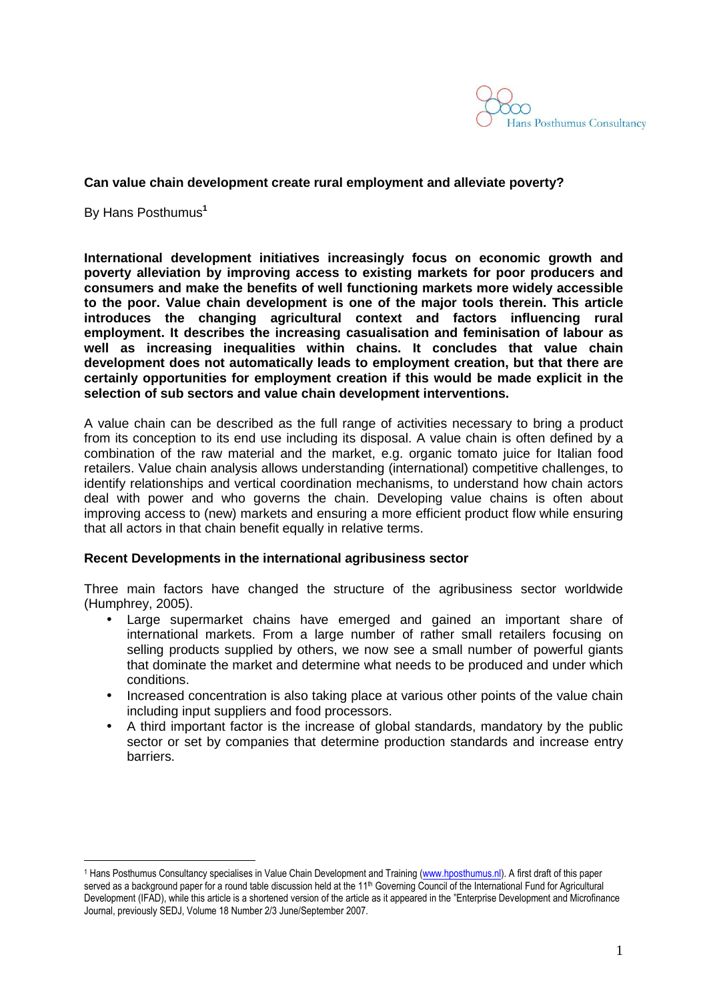

## **Can value chain development create rural employment and alleviate poverty?**

By Hans Posthumus**<sup>1</sup>**

 $\overline{a}$ 

**International development initiatives increasingly focus on economic growth and poverty alleviation by improving access to existing markets for poor producers and consumers and make the benefits of well functioning markets more widely accessible to the poor. Value chain development is one of the major tools therein. This article introduces the changing agricultural context and factors influencing rural employment. It describes the increasing casualisation and feminisation of labour as well as increasing inequalities within chains. It concludes that value chain development does not automatically leads to employment creation, but that there are certainly opportunities for employment creation if this would be made explicit in the selection of sub sectors and value chain development interventions.** 

A value chain can be described as the full range of activities necessary to bring a product from its conception to its end use including its disposal. A value chain is often defined by a combination of the raw material and the market, e.g. organic tomato juice for Italian food retailers. Value chain analysis allows understanding (international) competitive challenges, to identify relationships and vertical coordination mechanisms, to understand how chain actors deal with power and who governs the chain. Developing value chains is often about improving access to (new) markets and ensuring a more efficient product flow while ensuring that all actors in that chain benefit equally in relative terms.

#### **Recent Developments in the international agribusiness sector**

Three main factors have changed the structure of the agribusiness sector worldwide (Humphrey, 2005).

- Large supermarket chains have emerged and gained an important share of international markets. From a large number of rather small retailers focusing on selling products supplied by others, we now see a small number of powerful giants that dominate the market and determine what needs to be produced and under which conditions.
- Increased concentration is also taking place at various other points of the value chain including input suppliers and food processors.
- A third important factor is the increase of global standards, mandatory by the public sector or set by companies that determine production standards and increase entry barriers.

<sup>&</sup>lt;sup>1</sup> Hans Posthumus Consultancy specialises in Value Chain Development and Training (www.hposthumus.nl). A first draft of this paper served as a background paper for a round table discussion held at the 11<sup>th</sup> Governing Council of the International Fund for Agricultural Development (IFAD), while this article is a shortened version of the article as it appeared in the "Enterprise Development and Microfinance Journal, previously SEDJ, Volume 18 Number 2/3 June/September 2007.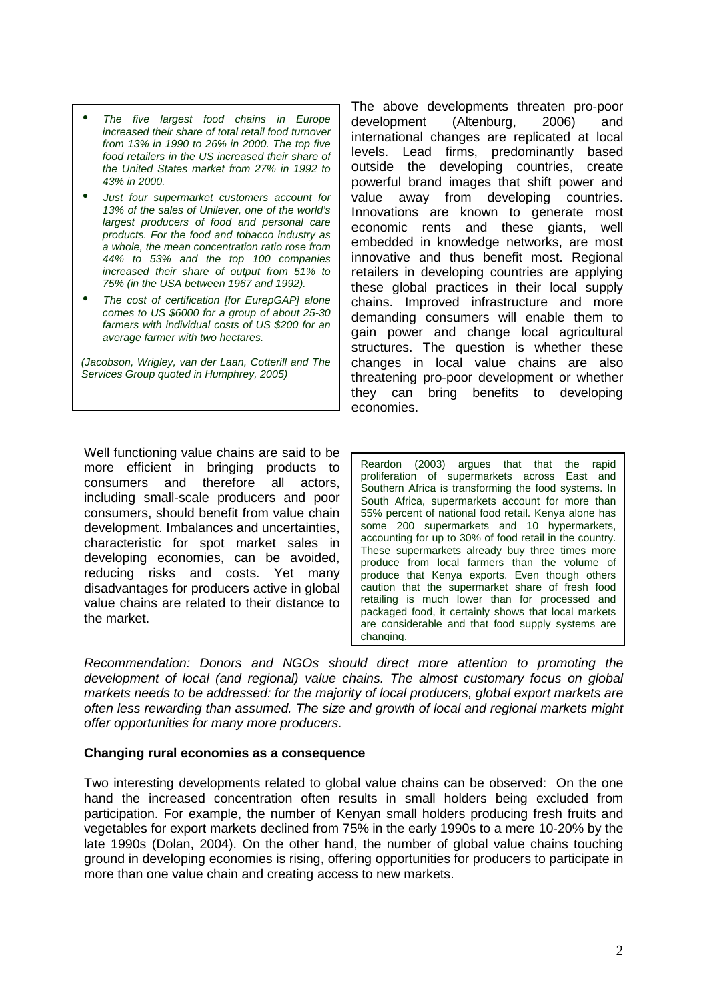- The five largest food chains in Europe increased their share of total retail food turnover from 13% in 1990 to 26% in 2000. The top five food retailers in the US increased their share of the United States market from 27% in 1992 to 43% in 2000.
- Just four supermarket customers account for 13% of the sales of Unilever, one of the world's largest producers of food and personal care products. For the food and tobacco industry as a whole, the mean concentration ratio rose from 44% to 53% and the top 100 companies increased their share of output from 51% to 75% (in the USA between 1967 and 1992).
- The cost of certification [for EurepGAP] alone comes to US \$6000 for a group of about 25-30 farmers with individual costs of US \$200 for an average farmer with two hectares.

(Jacobson, Wrigley, van der Laan, Cotterill and The Services Group quoted in Humphrey, 2005)

Well functioning value chains are said to be more efficient in bringing products to consumers and therefore all actors, including small-scale producers and poor consumers, should benefit from value chain development. Imbalances and uncertainties, characteristic for spot market sales in developing economies, can be avoided, reducing risks and costs. Yet many disadvantages for producers active in global value chains are related to their distance to the market.

The above developments threaten pro-poor development (Altenburg, 2006) and international changes are replicated at local levels. Lead firms, predominantly based outside the developing countries, create powerful brand images that shift power and value away from developing countries. Innovations are known to generate most economic rents and these giants, well embedded in knowledge networks, are most innovative and thus benefit most. Regional retailers in developing countries are applying these global practices in their local supply chains. Improved infrastructure and more demanding consumers will enable them to gain power and change local agricultural structures. The question is whether these changes in local value chains are also threatening pro-poor development or whether they can bring benefits to developing economies.

Reardon (2003) argues that that the rapid proliferation of supermarkets across East and Southern Africa is transforming the food systems. In South Africa, supermarkets account for more than 55% percent of national food retail. Kenya alone has some 200 supermarkets and 10 hypermarkets, accounting for up to 30% of food retail in the country. These supermarkets already buy three times more produce from local farmers than the volume of produce that Kenya exports. Even though others caution that the supermarket share of fresh food retailing is much lower than for processed and packaged food, it certainly shows that local markets are considerable and that food supply systems are changing.

Recommendation: Donors and NGOs should direct more attention to promoting the development of local (and regional) value chains. The almost customary focus on global markets needs to be addressed: for the majority of local producers, global export markets are often less rewarding than assumed. The size and growth of local and regional markets might offer opportunities for many more producers.

#### **Changing rural economies as a consequence**

Two interesting developments related to global value chains can be observed: On the one hand the increased concentration often results in small holders being excluded from participation. For example, the number of Kenyan small holders producing fresh fruits and vegetables for export markets declined from 75% in the early 1990s to a mere 10-20% by the late 1990s (Dolan, 2004). On the other hand, the number of global value chains touching ground in developing economies is rising, offering opportunities for producers to participate in more than one value chain and creating access to new markets.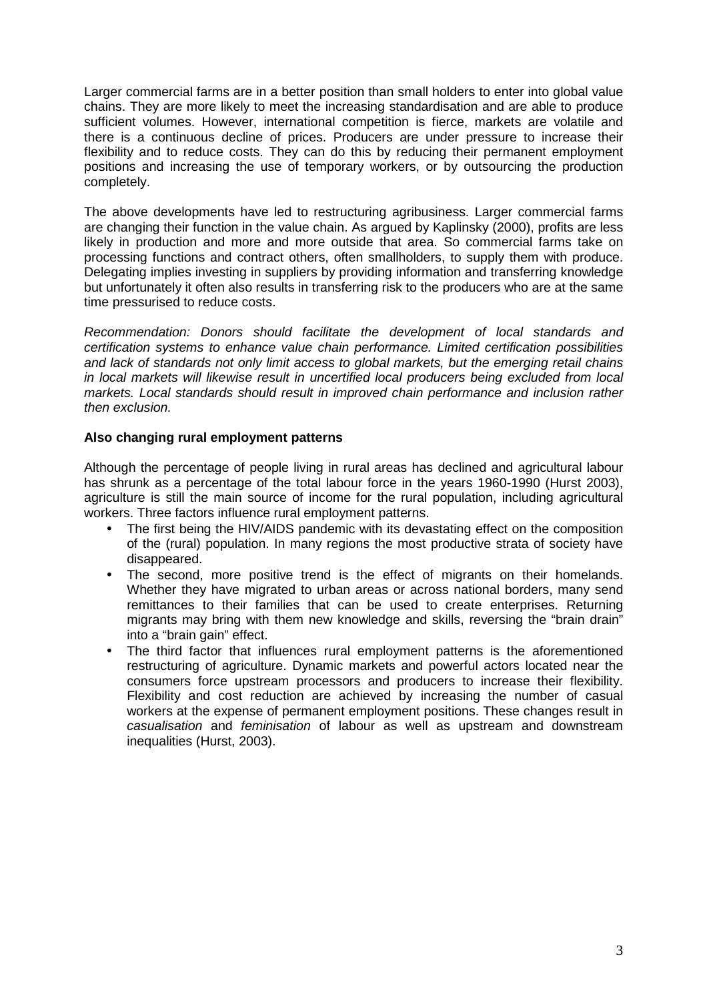Larger commercial farms are in a better position than small holders to enter into global value chains. They are more likely to meet the increasing standardisation and are able to produce sufficient volumes. However, international competition is fierce, markets are volatile and there is a continuous decline of prices. Producers are under pressure to increase their flexibility and to reduce costs. They can do this by reducing their permanent employment positions and increasing the use of temporary workers, or by outsourcing the production completely.

The above developments have led to restructuring agribusiness. Larger commercial farms are changing their function in the value chain. As argued by Kaplinsky (2000), profits are less likely in production and more and more outside that area. So commercial farms take on processing functions and contract others, often smallholders, to supply them with produce. Delegating implies investing in suppliers by providing information and transferring knowledge but unfortunately it often also results in transferring risk to the producers who are at the same time pressurised to reduce costs.

Recommendation: Donors should facilitate the development of local standards and certification systems to enhance value chain performance. Limited certification possibilities and lack of standards not only limit access to global markets, but the emerging retail chains in local markets will likewise result in uncertified local producers being excluded from local markets. Local standards should result in improved chain performance and inclusion rather then exclusion.

# **Also changing rural employment patterns**

Although the percentage of people living in rural areas has declined and agricultural labour has shrunk as a percentage of the total labour force in the years 1960-1990 (Hurst 2003), agriculture is still the main source of income for the rural population, including agricultural workers. Three factors influence rural employment patterns.

- The first being the HIV/AIDS pandemic with its devastating effect on the composition of the (rural) population. In many regions the most productive strata of society have disappeared.
- The second, more positive trend is the effect of migrants on their homelands. Whether they have migrated to urban areas or across national borders, many send remittances to their families that can be used to create enterprises. Returning migrants may bring with them new knowledge and skills, reversing the "brain drain" into a "brain gain" effect.
- The third factor that influences rural employment patterns is the aforementioned restructuring of agriculture. Dynamic markets and powerful actors located near the consumers force upstream processors and producers to increase their flexibility. Flexibility and cost reduction are achieved by increasing the number of casual workers at the expense of permanent employment positions. These changes result in casualisation and feminisation of labour as well as upstream and downstream inequalities (Hurst, 2003).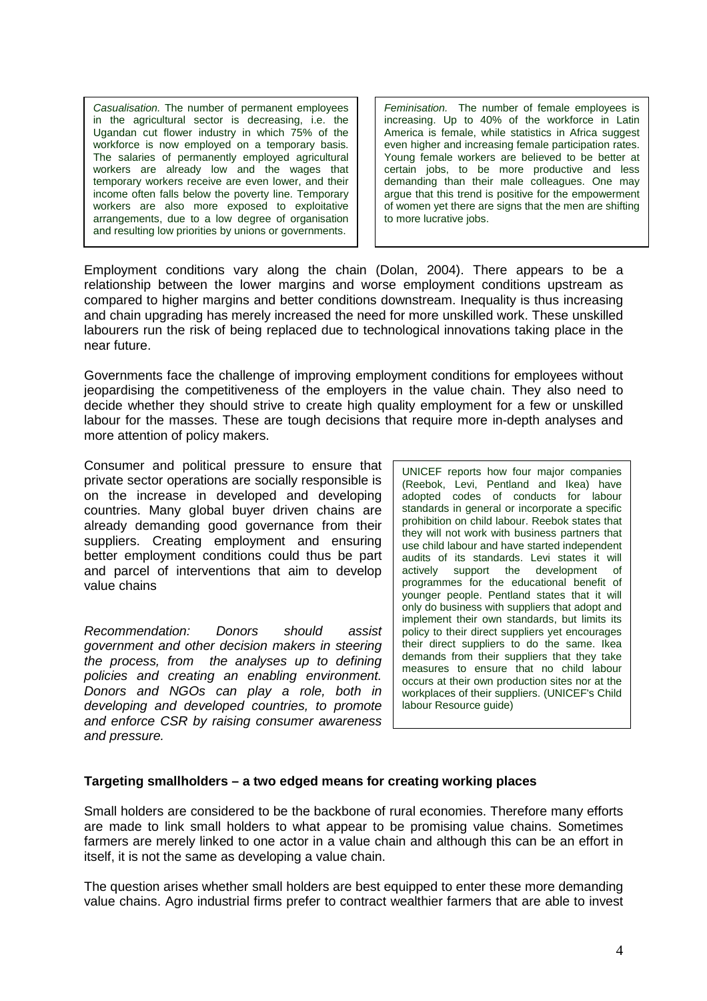Casualisation. The number of permanent employees in the agricultural sector is decreasing, i.e. the Ugandan cut flower industry in which 75% of the workforce is now employed on a temporary basis. The salaries of permanently employed agricultural workers are already low and the wages that temporary workers receive are even lower, and their income often falls below the poverty line. Temporary workers are also more exposed to exploitative arrangements, due to a low degree of organisation and resulting low priorities by unions or governments.

Feminisation. The number of female employees is increasing. Up to 40% of the workforce in Latin America is female, while statistics in Africa suggest even higher and increasing female participation rates. Young female workers are believed to be better at certain jobs, to be more productive and less demanding than their male colleagues. One may argue that this trend is positive for the empowerment of women yet there are signs that the men are shifting to more lucrative jobs.

Employment conditions vary along the chain (Dolan, 2004). There appears to be a relationship between the lower margins and worse employment conditions upstream as compared to higher margins and better conditions downstream. Inequality is thus increasing and chain upgrading has merely increased the need for more unskilled work. These unskilled labourers run the risk of being replaced due to technological innovations taking place in the near future.

Governments face the challenge of improving employment conditions for employees without jeopardising the competitiveness of the employers in the value chain. They also need to decide whether they should strive to create high quality employment for a few or unskilled labour for the masses. These are tough decisions that require more in-depth analyses and more attention of policy makers.

Consumer and political pressure to ensure that private sector operations are socially responsible is on the increase in developed and developing countries. Many global buyer driven chains are already demanding good governance from their suppliers. Creating employment and ensuring better employment conditions could thus be part and parcel of interventions that aim to develop value chains

Recommendation: Donors should assist government and other decision makers in steering the process, from the analyses up to defining policies and creating an enabling environment. Donors and NGOs can play a role, both in developing and developed countries, to promote and enforce CSR by raising consumer awareness and pressure.

UNICEF reports how four major companies (Reebok, Levi, Pentland and Ikea) have adopted codes of conducts for labour standards in general or incorporate a specific prohibition on child labour. Reebok states that they will not work with business partners that use child labour and have started independent audits of its standards. Levi states it will actively support the development of programmes for the educational benefit of younger people. Pentland states that it will only do business with suppliers that adopt and implement their own standards, but limits its policy to their direct suppliers yet encourages their direct suppliers to do the same. Ikea demands from their suppliers that they take measures to ensure that no child labour occurs at their own production sites nor at the workplaces of their suppliers. (UNICEF's Child labour Resource guide)

# **Targeting smallholders – a two edged means for creating working places**

Small holders are considered to be the backbone of rural economies. Therefore many efforts are made to link small holders to what appear to be promising value chains. Sometimes farmers are merely linked to one actor in a value chain and although this can be an effort in itself, it is not the same as developing a value chain.

The question arises whether small holders are best equipped to enter these more demanding value chains. Agro industrial firms prefer to contract wealthier farmers that are able to invest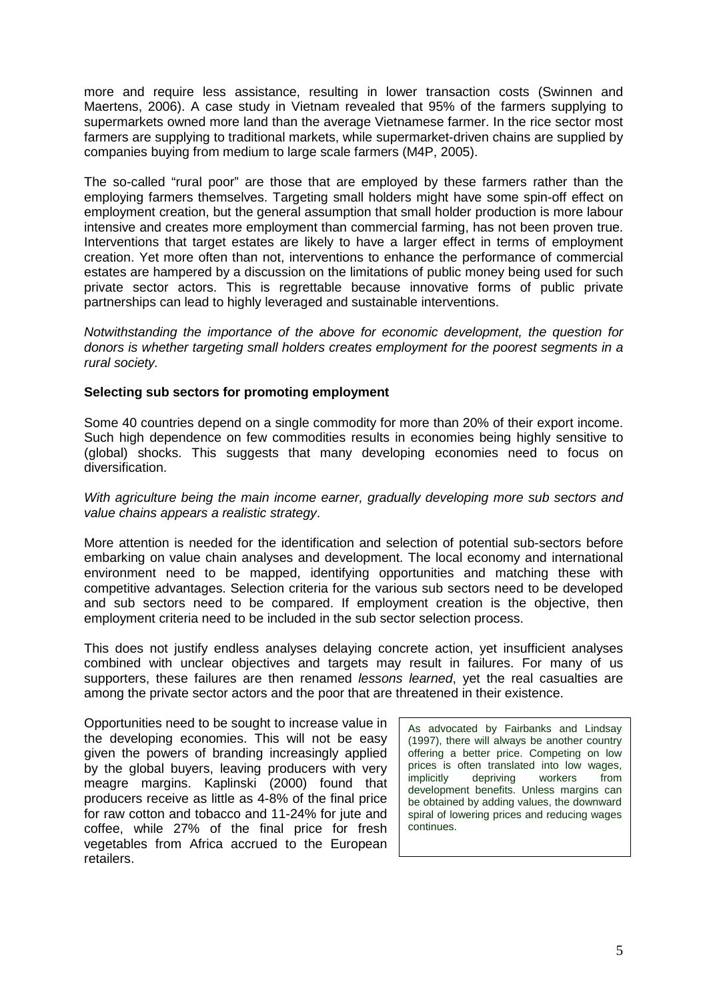more and require less assistance, resulting in lower transaction costs (Swinnen and Maertens, 2006). A case study in Vietnam revealed that 95% of the farmers supplying to supermarkets owned more land than the average Vietnamese farmer. In the rice sector most farmers are supplying to traditional markets, while supermarket-driven chains are supplied by companies buying from medium to large scale farmers (M4P, 2005).

The so-called "rural poor" are those that are employed by these farmers rather than the employing farmers themselves. Targeting small holders might have some spin-off effect on employment creation, but the general assumption that small holder production is more labour intensive and creates more employment than commercial farming, has not been proven true. Interventions that target estates are likely to have a larger effect in terms of employment creation. Yet more often than not, interventions to enhance the performance of commercial estates are hampered by a discussion on the limitations of public money being used for such private sector actors. This is regrettable because innovative forms of public private partnerships can lead to highly leveraged and sustainable interventions.

Notwithstanding the importance of the above for economic development, the question for donors is whether targeting small holders creates employment for the poorest segments in a rural society.

# **Selecting sub sectors for promoting employment**

Some 40 countries depend on a single commodity for more than 20% of their export income. Such high dependence on few commodities results in economies being highly sensitive to (global) shocks. This suggests that many developing economies need to focus on diversification.

## With agriculture being the main income earner, gradually developing more sub sectors and value chains appears a realistic strategy.

More attention is needed for the identification and selection of potential sub-sectors before embarking on value chain analyses and development. The local economy and international environment need to be mapped, identifying opportunities and matching these with competitive advantages. Selection criteria for the various sub sectors need to be developed and sub sectors need to be compared. If employment creation is the objective, then employment criteria need to be included in the sub sector selection process.

This does not justify endless analyses delaying concrete action, yet insufficient analyses combined with unclear objectives and targets may result in failures. For many of us supporters, these failures are then renamed *lessons learned*, yet the real casualties are among the private sector actors and the poor that are threatened in their existence.

Opportunities need to be sought to increase value in the developing economies. This will not be easy given the powers of branding increasingly applied by the global buyers, leaving producers with very meagre margins. Kaplinski (2000) found that producers receive as little as 4-8% of the final price for raw cotton and tobacco and 11-24% for jute and coffee, while 27% of the final price for fresh vegetables from Africa accrued to the European retailers.

As advocated by Fairbanks and Lindsay (1997), there will always be another country offering a better price. Competing on low prices is often translated into low wages, implicitly depriving workers from development benefits. Unless margins can be obtained by adding values, the downward spiral of lowering prices and reducing wages continues.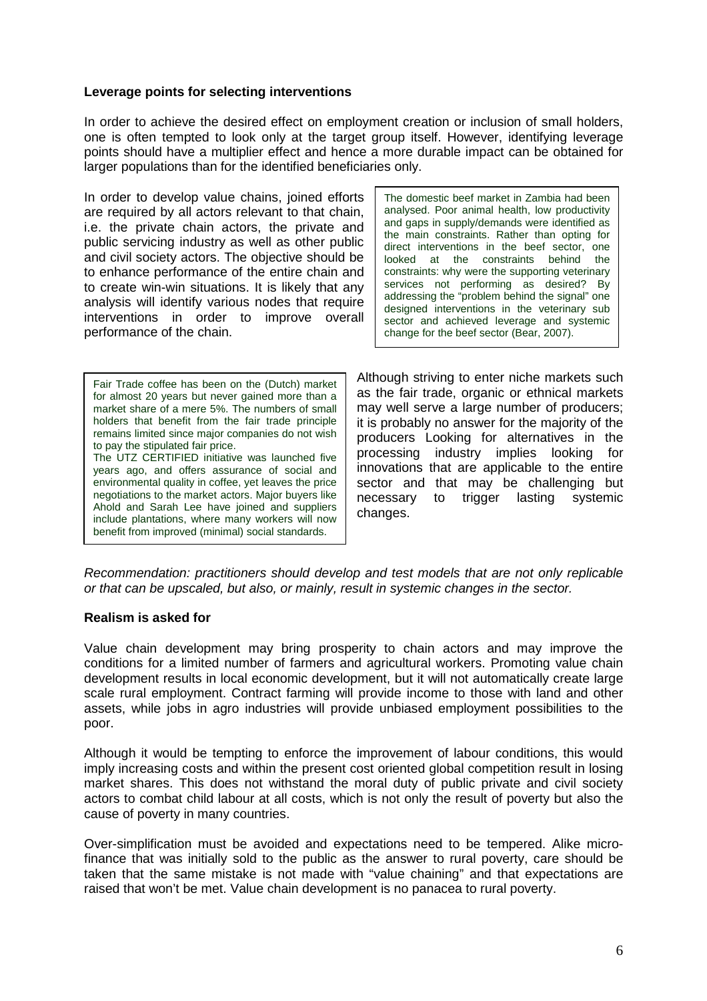## **Leverage points for selecting interventions**

In order to achieve the desired effect on employment creation or inclusion of small holders, one is often tempted to look only at the target group itself. However, identifying leverage points should have a multiplier effect and hence a more durable impact can be obtained for larger populations than for the identified beneficiaries only.

In order to develop value chains, joined efforts are required by all actors relevant to that chain, i.e. the private chain actors, the private and public servicing industry as well as other public and civil society actors. The objective should be to enhance performance of the entire chain and to create win-win situations. It is likely that any analysis will identify various nodes that require interventions in order to improve overall performance of the chain.

Fair Trade coffee has been on the (Dutch) market for almost 20 years but never gained more than a market share of a mere 5%. The numbers of small holders that benefit from the fair trade principle remains limited since major companies do not wish to pay the stipulated fair price. The UTZ CERTIFIED initiative was launched five years ago, and offers assurance of social and environmental quality in coffee, yet leaves the price negotiations to the market actors. Major buyers like Ahold and Sarah Lee have joined and suppliers include plantations, where many workers will now

benefit from improved (minimal) social standards.

The domestic beef market in Zambia had been analysed. Poor animal health, low productivity and gaps in supply/demands were identified as the main constraints. Rather than opting for direct interventions in the beef sector, one looked at the constraints behind the constraints: why were the supporting veterinary services not performing as desired? By addressing the "problem behind the signal" one designed interventions in the veterinary sub sector and achieved leverage and systemic change for the beef sector (Bear, 2007).

Although striving to enter niche markets such as the fair trade, organic or ethnical markets may well serve a large number of producers; it is probably no answer for the majority of the producers Looking for alternatives in the processing industry implies looking for innovations that are applicable to the entire sector and that may be challenging but necessary to trigger lasting systemic changes.

Recommendation: practitioners should develop and test models that are not only replicable or that can be upscaled, but also, or mainly, result in systemic changes in the sector.

# **Realism is asked for**

Value chain development may bring prosperity to chain actors and may improve the conditions for a limited number of farmers and agricultural workers. Promoting value chain development results in local economic development, but it will not automatically create large scale rural employment. Contract farming will provide income to those with land and other assets, while jobs in agro industries will provide unbiased employment possibilities to the poor.

Although it would be tempting to enforce the improvement of labour conditions, this would imply increasing costs and within the present cost oriented global competition result in losing market shares. This does not withstand the moral duty of public private and civil society actors to combat child labour at all costs, which is not only the result of poverty but also the cause of poverty in many countries.

Over-simplification must be avoided and expectations need to be tempered. Alike microfinance that was initially sold to the public as the answer to rural poverty, care should be taken that the same mistake is not made with "value chaining" and that expectations are raised that won't be met. Value chain development is no panacea to rural poverty.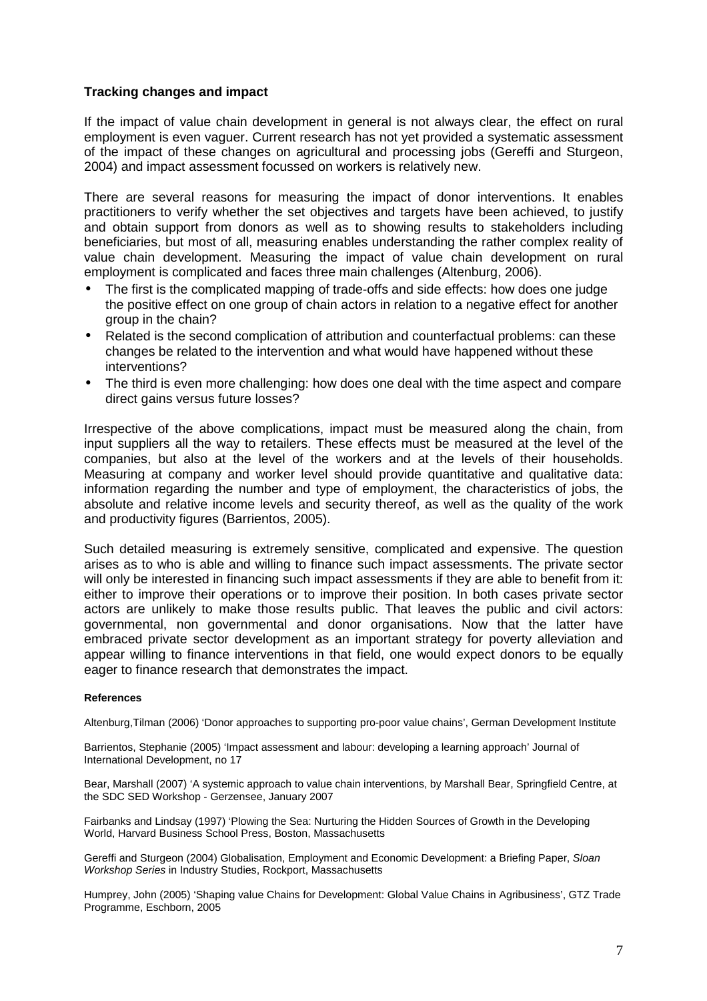# **Tracking changes and impact**

If the impact of value chain development in general is not always clear, the effect on rural employment is even vaguer. Current research has not yet provided a systematic assessment of the impact of these changes on agricultural and processing jobs (Gereffi and Sturgeon, 2004) and impact assessment focussed on workers is relatively new.

There are several reasons for measuring the impact of donor interventions. It enables practitioners to verify whether the set objectives and targets have been achieved, to justify and obtain support from donors as well as to showing results to stakeholders including beneficiaries, but most of all, measuring enables understanding the rather complex reality of value chain development. Measuring the impact of value chain development on rural employment is complicated and faces three main challenges (Altenburg, 2006).

- The first is the complicated mapping of trade-offs and side effects: how does one judge the positive effect on one group of chain actors in relation to a negative effect for another group in the chain?
- Related is the second complication of attribution and counterfactual problems: can these changes be related to the intervention and what would have happened without these interventions?
- The third is even more challenging: how does one deal with the time aspect and compare direct gains versus future losses?

Irrespective of the above complications, impact must be measured along the chain, from input suppliers all the way to retailers. These effects must be measured at the level of the companies, but also at the level of the workers and at the levels of their households. Measuring at company and worker level should provide quantitative and qualitative data: information regarding the number and type of employment, the characteristics of jobs, the absolute and relative income levels and security thereof, as well as the quality of the work and productivity figures (Barrientos, 2005).

Such detailed measuring is extremely sensitive, complicated and expensive. The question arises as to who is able and willing to finance such impact assessments. The private sector will only be interested in financing such impact assessments if they are able to benefit from it: either to improve their operations or to improve their position. In both cases private sector actors are unlikely to make those results public. That leaves the public and civil actors: governmental, non governmental and donor organisations. Now that the latter have embraced private sector development as an important strategy for poverty alleviation and appear willing to finance interventions in that field, one would expect donors to be equally eager to finance research that demonstrates the impact.

#### **References**

Altenburg,Tilman (2006) 'Donor approaches to supporting pro-poor value chains', German Development Institute

Barrientos, Stephanie (2005) 'Impact assessment and labour: developing a learning approach' Journal of International Development, no 17

Bear, Marshall (2007) 'A systemic approach to value chain interventions, by Marshall Bear, Springfield Centre, at the SDC SED Workshop - Gerzensee, January 2007

Fairbanks and Lindsay (1997) 'Plowing the Sea: Nurturing the Hidden Sources of Growth in the Developing World, Harvard Business School Press, Boston, Massachusetts

Gereffi and Sturgeon (2004) Globalisation, Employment and Economic Development: a Briefing Paper, Sloan Workshop Series in Industry Studies, Rockport, Massachusetts

Humprey, John (2005) 'Shaping value Chains for Development: Global Value Chains in Agribusiness', GTZ Trade Programme, Eschborn, 2005